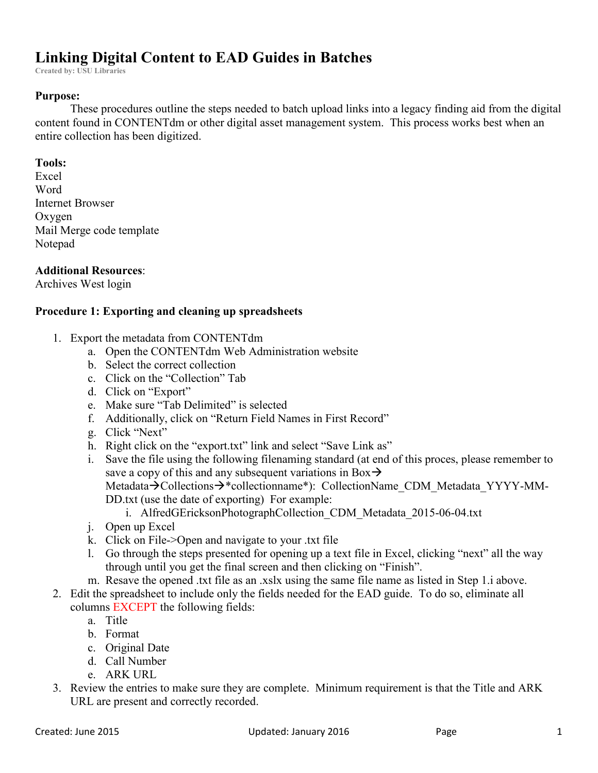# **Linking Digital Content to EAD Guides in Batches**

**Created by: USU Libraries**

## **Purpose:**

These procedures outline the steps needed to batch upload links into a legacy finding aid from the digital content found in CONTENTdm or other digital asset management system. This process works best when an entire collection has been digitized.

#### **Tools:**

Excel Word Internet Browser **Oxygen** Mail Merge code template Notepad

### **Additional Resources**:

Archives West login

## **Procedure 1: Exporting and cleaning up spreadsheets**

- 1. Export the metadata from CONTENTdm
	- a. Open the CONTENTdm Web Administration website
	- b. Select the correct collection
	- c. Click on the "Collection" Tab
	- d. Click on "Export"
	- e. Make sure "Tab Delimited" is selected
	- f. Additionally, click on "Return Field Names in First Record"
	- g. Click "Next"
	- h. Right click on the "export.txt" link and select "Save Link as"
	- i. Save the file using the following filenaming standard (at end of this proces, please remember to save a copy of this and any subsequent variations in Box $\rightarrow$ Metadata $\rightarrow$ Collections $\rightarrow$ \*collectionname\*): CollectionName CDM Metadata YYYY-MM-DD.txt (use the date of exporting) For example:
		- i. AlfredGEricksonPhotographCollection\_CDM\_Metadata\_2015-06-04.txt
	- j. Open up Excel
	- k. Click on File->Open and navigate to your .txt file
	- l. Go through the steps presented for opening up a text file in Excel, clicking "next" all the way through until you get the final screen and then clicking on "Finish".
	- m. Resave the opened .txt file as an .xslx using the same file name as listed in Step 1.i above.
- 2. Edit the spreadsheet to include only the fields needed for the EAD guide. To do so, eliminate all columns EXCEPT the following fields:
	- a. Title
	- b. Format
	- c. Original Date
	- d. Call Number
	- e. ARK URL
- 3. Review the entries to make sure they are complete. Minimum requirement is that the Title and ARK URL are present and correctly recorded.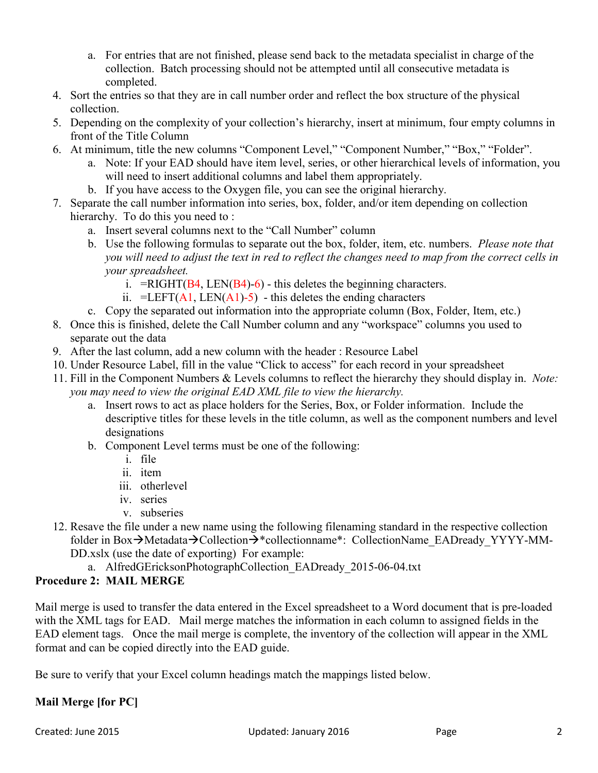- a. For entries that are not finished, please send back to the metadata specialist in charge of the collection. Batch processing should not be attempted until all consecutive metadata is completed.
- 4. Sort the entries so that they are in call number order and reflect the box structure of the physical collection.
- 5. Depending on the complexity of your collection's hierarchy, insert at minimum, four empty columns in front of the Title Column
- 6. At minimum, title the new columns "Component Level," "Component Number," "Box," "Folder".
	- a. Note: If your EAD should have item level, series, or other hierarchical levels of information, you will need to insert additional columns and label them appropriately.
	- b. If you have access to the Oxygen file, you can see the original hierarchy.
- 7. Separate the call number information into series, box, folder, and/or item depending on collection hierarchy. To do this you need to :
	- a. Insert several columns next to the "Call Number" column
	- b. Use the following formulas to separate out the box, folder, item, etc. numbers. *Please note that you will need to adjust the text in red to reflect the changes need to map from the correct cells in your spreadsheet.* 
		- i. = RIGHT( $B4$ , LEN( $B4$ )-6) this deletes the beginning characters.
		- ii. =LEFT( $\overline{A1}$ , LEN( $\overline{A1}$ )-5) this deletes the ending characters
	- c. Copy the separated out information into the appropriate column (Box, Folder, Item, etc.)
- 8. Once this is finished, delete the Call Number column and any "workspace" columns you used to separate out the data
- 9. After the last column, add a new column with the header : Resource Label
- 10. Under Resource Label, fill in the value "Click to access" for each record in your spreadsheet
- 11. Fill in the Component Numbers & Levels columns to reflect the hierarchy they should display in. *Note: you may need to view the original EAD XML file to view the hierarchy.*
	- a. Insert rows to act as place holders for the Series, Box, or Folder information. Include the descriptive titles for these levels in the title column, as well as the component numbers and level designations
	- b. Component Level terms must be one of the following:
		- i. file
		- ii. item
		- iii. otherlevel
		- iv. series
		- v. subseries
- 12. Resave the file under a new name using the following filenaming standard in the respective collection folder in Box $\rightarrow$ Metadata $\rightarrow$ Collection $\rightarrow$ \*collectionname\*: CollectionName EADready YYYY-MM-DD.xslx (use the date of exporting) For example:
	- a. AlfredGEricksonPhotographCollection\_EADready\_2015-06-04.txt

# **Procedure 2: MAIL MERGE**

Mail merge is used to transfer the data entered in the Excel spreadsheet to a Word document that is pre-loaded with the XML tags for EAD. Mail merge matches the information in each column to assigned fields in the EAD element tags. Once the mail merge is complete, the inventory of the collection will appear in the XML format and can be copied directly into the EAD guide.

Be sure to verify that your Excel column headings match the mappings listed below.

# **Mail Merge [for PC]**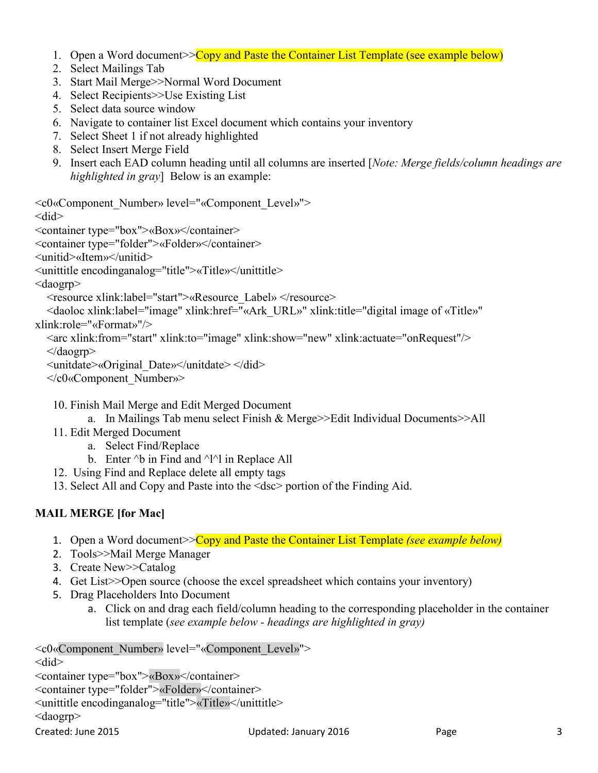- 1. Open a Word document>> Copy and Paste the Container List Template (see example below)
- 2. Select Mailings Tab
- 3. Start Mail Merge>>Normal Word Document
- 4. Select Recipients>>Use Existing List
- 5. Select data source window
- 6. Navigate to container list Excel document which contains your inventory
- 7. Select Sheet 1 if not already highlighted
- 8. Select Insert Merge Field
- 9. Insert each EAD column heading until all columns are inserted [*Note: Merge fields/column headings are highlighted in gray*] Below is an example:

<c0«Component\_Number» level="«Component\_Level»">

#### <did>

<container type="box">«Box»</container>

<container type="folder">«Folder»</container>

<unitid>«Item»</unitid>

<unittitle encodinganalog="title">«Title»</unittitle>

<daogrp>

<resource xlink:label="start">«Resource\_Label» </resource>

 <daoloc xlink:label="image" xlink:href="«Ark\_URL»" xlink:title="digital image of «Title»" xlink:role="«Format»"/>

 <arc xlink:from="start" xlink:to="image" xlink:show="new" xlink:actuate="onRequest"/> </daogrp>

```
 <unitdate>«Original_Date»</unitdate> </did>
```
</c0«Component\_Number»>

10. Finish Mail Merge and Edit Merged Document

a. In Mailings Tab menu select Finish & Merge>>Edit Individual Documents>>All

11. Edit Merged Document

a. Select Find/Replace

- b. Enter  $\Delta b$  in Find and  $\Delta b$  in Replace All
- 12. Using Find and Replace delete all empty tags
- 13. Select All and Copy and Paste into the <dsc> portion of the Finding Aid.

# **MAIL MERGE [for Mac]**

- 1. Open a Word document>>Copy and Paste the Container List Template *(see example below)*
- 2. Tools>>Mail Merge Manager
- 3. Create New>>Catalog
- 4. Get List>>Open source (choose the excel spreadsheet which contains your inventory)
- 5. Drag Placeholders Into Document
	- a. Click on and drag each field/column heading to the corresponding placeholder in the container list template (*see example below - headings are highlighted in gray)*

<c0«Component\_Number» level="«Component\_Level»"> <did> <container type="box">«Box»</container> <container type="folder">«Folder»</container> <unittitle encodinganalog="title">«Title»</unittitle>

<daogrp>